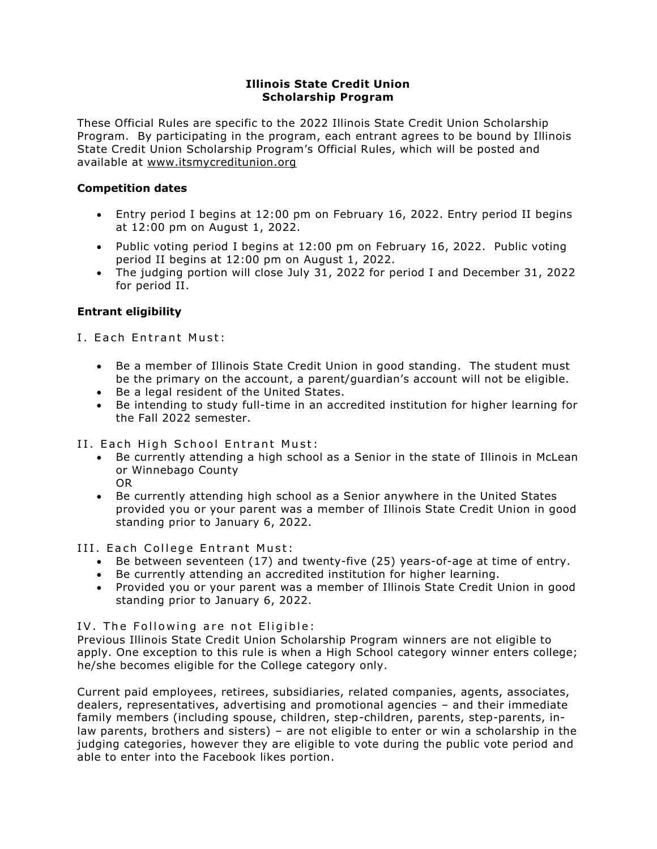# **Illinois State Credit Union Scholarship Program**

These Official Rules are specific to the 2022 Illinois State Credit Union Scholarship Program. By participating in the program, each entrant agrees to be bound by Illinois State Credit Union Scholarship Program's Official Rules, which will be posted and available at [www.itsmycreditunion.org](http://www.itsmycreditunion.org/)

# **Competition dates**

- Entry period I begins at 12:00 pm on February 16, 2022. Entry period II begins at 12:00 pm on August 1, 2022.
- Public voting period I begins at 12:00 pm on February 16, 2022. Public voting period II begins at 12:00 pm on August 1, 2022.
- The judging portion will close July 31, 2022 for period I and December 31, 2022 for period II.

# **Entrant eligibility**

I. Each Entrant Must:

- Be a member of Illinois State Credit Union in good standing. The student must be the primary on the account, a parent/guardian's account will not be eligible.
- Be a legal resident of the United States.
- Be intending to study full-time in an accredited institution for higher learning for the Fall 2022 semester.

II. Each High School Entrant Must:

- Be currently attending a high school as a Senior in the state of Illinois in McLean or Winnebago County OR
- Be currently attending high school as a Senior anywhere in the United States provided you or your parent was a member of Illinois State Credit Union in good standing prior to January 6, 2022.

III. Each College Entrant Must:

- Be between seventeen (17) and twenty-five (25) years-of-age at time of entry.
- Be currently attending an accredited institution for higher learning.
- Provided you or your parent was a member of Illinois State Credit Union in good standing prior to January 6, 2022.

IV. The Following are not Eligible:

Previous Illinois State Credit Union Scholarship Program winners are not eligible to apply. One exception to this rule is when a High School category winner enters college; he/she becomes eligible for the College category only.

Current paid employees, retirees, subsidiaries, related companies, agents, associates, dealers, representatives, advertising and promotional agencies – and their immediate family members (including spouse, children, step-children, parents, step-parents, inlaw parents, brothers and sisters) – are not eligible to enter or win a scholarship in the judging categories, however they are eligible to vote during the public vote period and able to enter into the Facebook likes portion.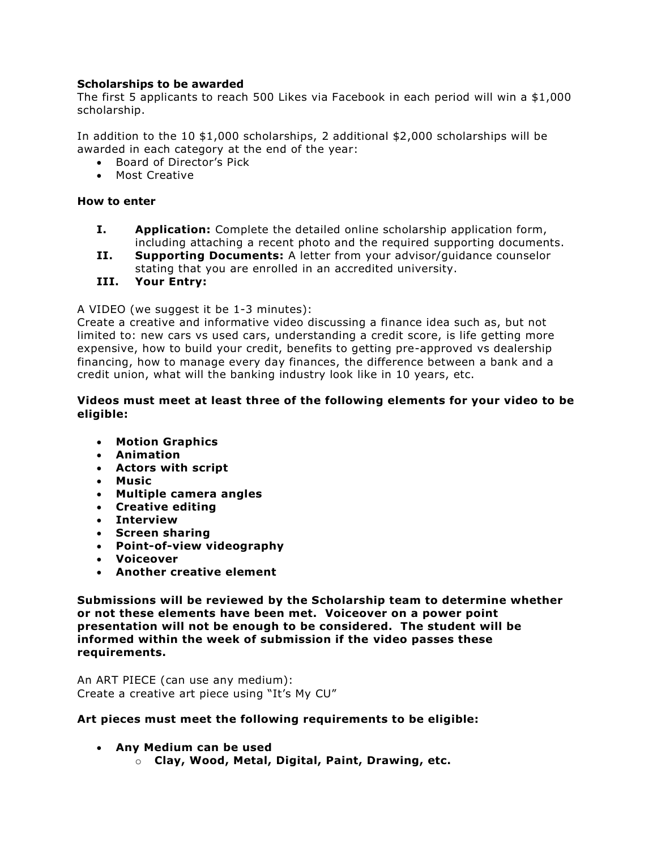# **Scholarships to be awarded**

The first 5 applicants to reach 500 Likes via Facebook in each period will win a \$1,000 scholarship.

In addition to the 10 \$1,000 scholarships, 2 additional \$2,000 scholarships will be awarded in each category at the end of the year:

- Board of Director's Pick
- Most Creative

## **How to enter**

- **I. Application:** Complete the detailed online scholarship application form, including attaching a recent photo and the required supporting documents.
- **II. Supporting Documents:** A letter from your advisor/guidance counselor stating that you are enrolled in an accredited university.
- **III. Your Entry:**

## A VIDEO (we suggest it be 1-3 minutes):

Create a creative and informative video discussing a finance idea such as, but not limited to: new cars vs used cars, understanding a credit score, is life getting more expensive, how to build your credit, benefits to getting pre-approved vs dealership financing, how to manage every day finances, the difference between a bank and a credit union, what will the banking industry look like in 10 years, etc.

## **Videos must meet at least three of the following elements for your video to be eligible:**

- **Motion Graphics**
- **Animation**
- **Actors with script**
- **Music**
- **Multiple camera angles**
- **Creative editing**
- **Interview**
- **Screen sharing**
- **Point-of-view videography**
- **Voiceover**
- **Another creative element**

**Submissions will be reviewed by the Scholarship team to determine whether or not these elements have been met. Voiceover on a power point presentation will not be enough to be considered. The student will be informed within the week of submission if the video passes these requirements.**

An ART PIECE (can use any medium): Create a creative art piece using "It's My CU"

## **Art pieces must meet the following requirements to be eligible:**

- **Any Medium can be used**
	- o **Clay, Wood, Metal, Digital, Paint, Drawing, etc.**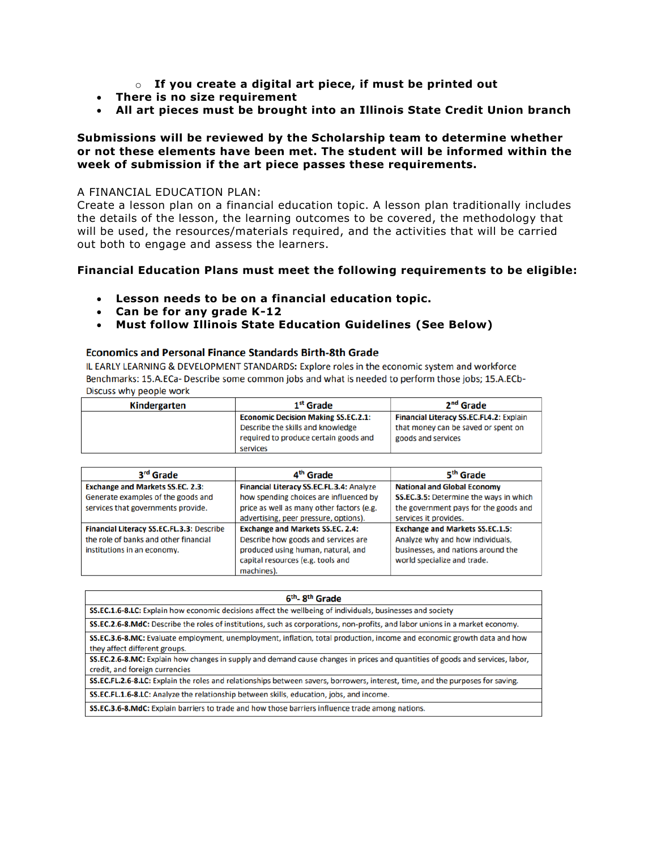- o **If you create a digital art piece, if must be printed out**
- **There is no size requirement**
- **All art pieces must be brought into an Illinois State Credit Union branch**

### **Submissions will be reviewed by the Scholarship team to determine whether or not these elements have been met. The student will be informed within the week of submission if the art piece passes these requirements.**

### A FINANCIAL EDUCATION PLAN:

Create a lesson plan on a financial education topic. A lesson plan traditionally includes the details of the lesson, the learning outcomes to be covered, the methodology that will be used, the resources/materials required, and the activities that will be carried out both to engage and assess the learners.

## **Financial Education Plans must meet the following requirements to be eligible:**

- **Lesson needs to be on a financial education topic.**
- **Can be for any grade K-12**
- **Must follow Illinois State Education Guidelines (See Below)**

## **Economics and Personal Finance Standards Birth-8th Grade**

IL EARLY LEARNING & DEVELOPMENT STANDARDS: Explore roles in the economic system and workforce Benchmarks: 15.A.ECa- Describe some common jobs and what is needed to perform those jobs; 15.A.ECb-Discuss why people work

| Kindergarten | 1 <sup>st</sup> Grade                      | 2 <sup>nd</sup> Grade                   |
|--------------|--------------------------------------------|-----------------------------------------|
|              | <b>Economic Decision Making SS.EC.2.1:</b> | Financial Literacy SS.EC.FL4.2: Explain |
|              | Describe the skills and knowledge          | that money can be saved or spent on     |
|              | required to produce certain goods and      | goods and services                      |
|              | services                                   |                                         |

| 3 <sup>rd</sup> Grade                     | 4 <sup>th</sup> Grade                     | 5 <sup>th</sup> Grade                  |
|-------------------------------------------|-------------------------------------------|----------------------------------------|
| <b>Exchange and Markets SS.EC. 2.3:</b>   | Financial Literacy SS.EC.FL.3.4: Analyze  | <b>National and Global Economy</b>     |
| Generate examples of the goods and        | how spending choices are influenced by    | SS.EC.3.5: Determine the ways in which |
| services that governments provide.        | price as well as many other factors (e.g. | the government pays for the goods and  |
|                                           | advertising, peer pressure, options).     | services it provides.                  |
| Financial Literacy SS.EC.FL.3.3: Describe | <b>Exchange and Markets SS.EC. 2.4:</b>   | <b>Exchange and Markets SS.EC.1.5:</b> |
| the role of banks and other financial     | Describe how goods and services are       | Analyze why and how individuals,       |
| institutions in an economy.               | produced using human, natural, and        | businesses, and nations around the     |
|                                           | capital resources (e.g. tools and         | world specialize and trade.            |
|                                           | machines).                                |                                        |

| 6 <sup>th</sup> -8 <sup>th</sup> Grade                                                                                                                          |
|-----------------------------------------------------------------------------------------------------------------------------------------------------------------|
| SS.EC.1.6-8.LC: Explain how economic decisions affect the wellbeing of individuals, businesses and society                                                      |
| SS.EC.2.6-8.MdC: Describe the roles of institutions, such as corporations, non-profits, and labor unions in a market economy.                                   |
| SS.EC.3.6-8.MC: Evaluate employment, unemployment, inflation, total production, income and economic growth data and how<br>they affect different groups.        |
| SS.EC.2.6-8.MC: Explain how changes in supply and demand cause changes in prices and quantities of goods and services, labor,<br>credit, and foreign currencies |
| SS.EC.FL.2.6-8.LC: Explain the roles and relationships between savers, borrowers, interest, time, and the purposes for saving.                                  |
| SS.EC.FL.1.6-8.LC: Analyze the relationship between skills, education, jobs, and income.                                                                        |
| SS.EC.3.6-8.MdC: Explain barriers to trade and how those barriers influence trade among nations.                                                                |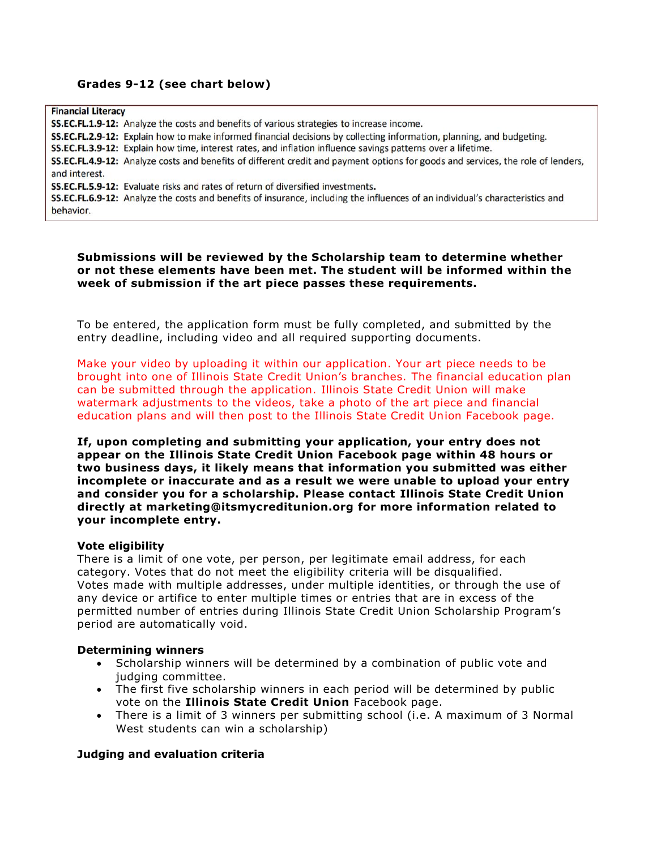# **Grades 9-12 (see chart below)**

**Financial Literacy** SS.EC.FL.1.9-12: Analyze the costs and benefits of various strategies to increase income. SS.EC.FL.2.9-12: Explain how to make informed financial decisions by collecting information, planning, and budgeting. SS.EC.FL.3.9-12: Explain how time, interest rates, and inflation influence savings patterns over a lifetime. SS.EC.FL.4.9-12: Analyze costs and benefits of different credit and payment options for goods and services, the role of lenders, and interest. SS.EC.FL.5.9-12: Evaluate risks and rates of return of diversified investments. SS.EC.FL.6.9-12: Analyze the costs and benefits of insurance, including the influences of an individual's characteristics and behavior.

**Submissions will be reviewed by the Scholarship team to determine whether or not these elements have been met. The student will be informed within the week of submission if the art piece passes these requirements.**

To be entered, the application form must be fully completed, and submitted by the entry deadline, including video and all required supporting documents.

Make your video by uploading it within our application. Your art piece needs to be brought into one of Illinois State Credit Union's branches. The financial education plan can be submitted through the application. Illinois State Credit Union will make watermark adjustments to the videos, take a photo of the art piece and financial education plans and will then post to the Illinois State Credit Union Facebook page.

**If, upon completing and submitting your application, your entry does not appear on the Illinois State Credit Union Facebook page within 48 hours or two business days, it likely means that information you submitted was either incomplete or inaccurate and as a result we were unable to upload your entry and consider you for a scholarship. Please contact Illinois State Credit Union directly at marketing@itsmycreditunion.org for more information related to your incomplete entry.**

#### **Vote eligibility**

There is a limit of one vote, per person, per legitimate email address, for each category. Votes that do not meet the eligibility criteria will be disqualified. Votes made with multiple addresses, under multiple identities, or through the use of any device or artifice to enter multiple times or entries that are in excess of the permitted number of entries during Illinois State Credit Union Scholarship Program's period are automatically void.

#### **Determining winners**

- Scholarship winners will be determined by a combination of public vote and judging committee.
- The first five scholarship winners in each period will be determined by public vote on the **Illinois State Credit Union** Facebook page.
- There is a limit of 3 winners per submitting school (i.e. A maximum of 3 Normal West students can win a scholarship)

## **Judging and evaluation criteria**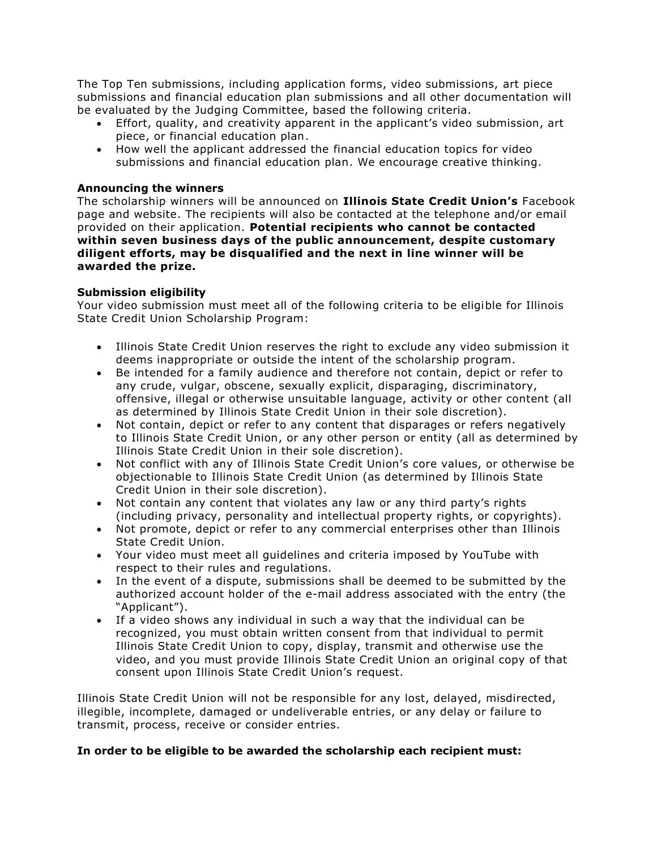The Top Ten submissions, including application forms, video submissions, art piece submissions and financial education plan submissions and all other documentation will be evaluated by the Judging Committee, based the following criteria.

- Effort, quality, and creativity apparent in the applicant's video submission, art piece, or financial education plan.
- How well the applicant addressed the financial education topics for video submissions and financial education plan. We encourage creative thinking.

## **Announcing the winners**

The scholarship winners will be announced on **Illinois State Credit Union's** Facebook page and website. The recipients will also be contacted at the telephone and/or email provided on their application. **Potential recipients who cannot be contacted within seven business days of the public announcement, despite customary diligent efforts, may be disqualified and the next in line winner will be awarded the prize.**

# **Submission eligibility**

Your video submission must meet all of the following criteria to be eligible for Illinois State Credit Union Scholarship Program:

- Illinois State Credit Union reserves the right to exclude any video submission it deems inappropriate or outside the intent of the scholarship program.
- Be intended for a family audience and therefore not contain, depict or refer to any crude, vulgar, obscene, sexually explicit, disparaging, discriminatory, offensive, illegal or otherwise unsuitable language, activity or other content (all as determined by Illinois State Credit Union in their sole discretion).
- Not contain, depict or refer to any content that disparages or refers negatively to Illinois State Credit Union, or any other person or entity (all as determined by Illinois State Credit Union in their sole discretion).
- Not conflict with any of Illinois State Credit Union's core values, or otherwise be objectionable to Illinois State Credit Union (as determined by Illinois State Credit Union in their sole discretion).
- Not contain any content that violates any law or any third party's rights (including privacy, personality and intellectual property rights, or copyrights).
- Not promote, depict or refer to any commercial enterprises other than Illinois State Credit Union.
- Your video must meet all guidelines and criteria imposed by YouTube with respect to their rules and regulations.
- In the event of a dispute, submissions shall be deemed to be submitted by the authorized account holder of the e-mail address associated with the entry (the "Applicant").
- If a video shows any individual in such a way that the individual can be recognized, you must obtain written consent from that individual to permit Illinois State Credit Union to copy, display, transmit and otherwise use the video, and you must provide Illinois State Credit Union an original copy of that consent upon Illinois State Credit Union's request.

Illinois State Credit Union will not be responsible for any lost, delayed, misdirected, illegible, incomplete, damaged or undeliverable entries, or any delay or failure to transmit, process, receive or consider entries.

## **In order to be eligible to be awarded the scholarship each recipient must:**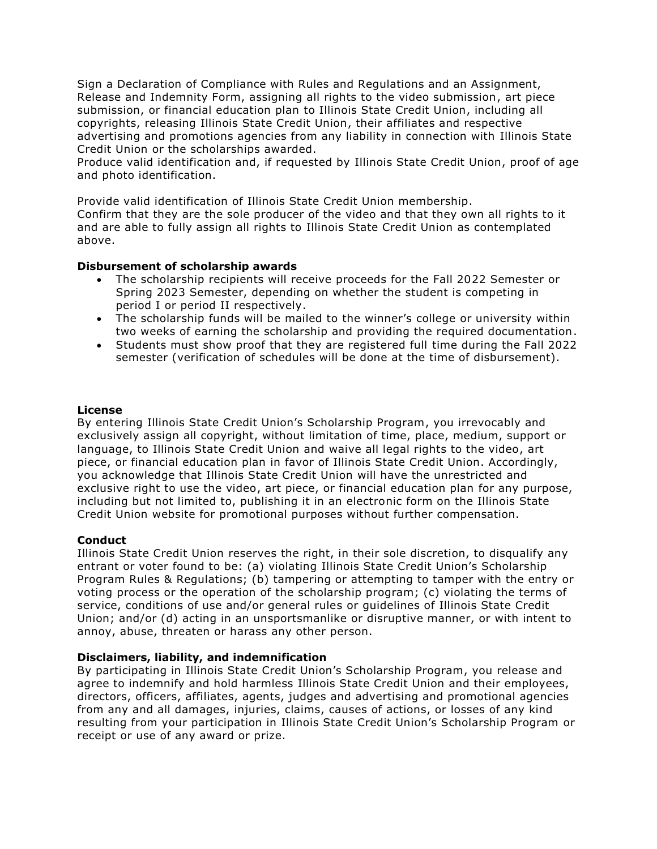Sign a Declaration of Compliance with Rules and Regulations and an Assignment, Release and Indemnity Form, assigning all rights to the video submission, art piece submission, or financial education plan to Illinois State Credit Union, including all copyrights, releasing Illinois State Credit Union, their affiliates and respective advertising and promotions agencies from any liability in connection with Illinois State Credit Union or the scholarships awarded.

Produce valid identification and, if requested by Illinois State Credit Union, proof of age and photo identification.

Provide valid identification of Illinois State Credit Union membership.

Confirm that they are the sole producer of the video and that they own all rights to it and are able to fully assign all rights to Illinois State Credit Union as contemplated above.

## **Disbursement of scholarship awards**

- The scholarship recipients will receive proceeds for the Fall 2022 Semester or Spring 2023 Semester, depending on whether the student is competing in period I or period II respectively.
- The scholarship funds will be mailed to the winner's college or university within two weeks of earning the scholarship and providing the required documentation.
- Students must show proof that they are registered full time during the Fall 2022 semester (verification of schedules will be done at the time of disbursement).

#### **License**

By entering Illinois State Credit Union's Scholarship Program, you irrevocably and exclusively assign all copyright, without limitation of time, place, medium, support or language, to Illinois State Credit Union and waive all legal rights to the video, art piece, or financial education plan in favor of Illinois State Credit Union. Accordingly, you acknowledge that Illinois State Credit Union will have the unrestricted and exclusive right to use the video, art piece, or financial education plan for any purpose, including but not limited to, publishing it in an electronic form on the Illinois State Credit Union website for promotional purposes without further compensation.

## **Conduct**

Illinois State Credit Union reserves the right, in their sole discretion, to disqualify any entrant or voter found to be: (a) violating Illinois State Credit Union's Scholarship Program Rules & Regulations; (b) tampering or attempting to tamper with the entry or voting process or the operation of the scholarship program; (c) violating the terms of service, conditions of use and/or general rules or guidelines of Illinois State Credit Union; and/or (d) acting in an unsportsmanlike or disruptive manner, or with intent to annoy, abuse, threaten or harass any other person.

#### **Disclaimers, liability, and indemnification**

By participating in Illinois State Credit Union's Scholarship Program, you release and agree to indemnify and hold harmless Illinois State Credit Union and their employees, directors, officers, affiliates, agents, judges and advertising and promotional agencies from any and all damages, injuries, claims, causes of actions, or losses of any kind resulting from your participation in Illinois State Credit Union's Scholarship Program or receipt or use of any award or prize.